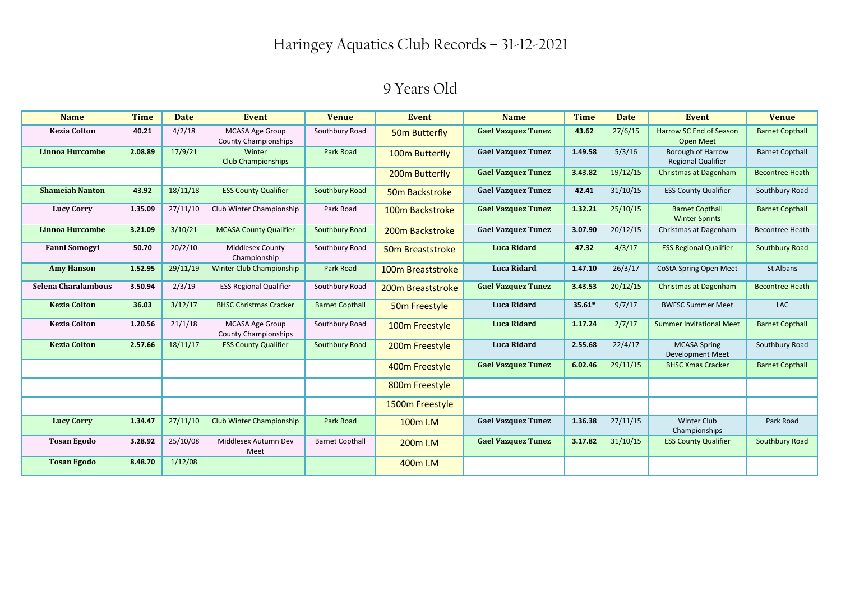| <b>Name</b>            | <b>Time</b> | <b>Date</b> | Event                                                 | <b>Venue</b>           | <b>Event</b>               | <b>Name</b>               | <b>Time</b> | <b>Date</b> | <b>Event</b>                                    | <b>Venue</b>           |
|------------------------|-------------|-------------|-------------------------------------------------------|------------------------|----------------------------|---------------------------|-------------|-------------|-------------------------------------------------|------------------------|
| <b>Kezia Colton</b>    | 40.21       | 4/2/18      | <b>MCASA Age Group</b><br><b>County Championships</b> | Southbury Road         | 50m Butterfly              | <b>Gael Vazquez Tunez</b> | 43.62       | 27/6/15     | Harrow SC End of Season<br><b>Open Meet</b>     | <b>Barnet Copthall</b> |
| Linnoa Hurcombe        | 2.08.89     | 17/9/21     | Winter<br><b>Club Championships</b>                   | Park Road              | 100m Butterfly             | <b>Gael Vazquez Tunez</b> | 1.49.58     | 5/3/16      | Borough of Harrow<br><b>Regional Qualifier</b>  | <b>Barnet Copthall</b> |
|                        |             |             |                                                       |                        | 200m Butterfly             | <b>Gael Vazquez Tunez</b> | 3.43.82     | 19/12/15    | <b>Christmas at Dagenham</b>                    | <b>Becontree Heath</b> |
| <b>Shameiah Nanton</b> | 43.92       | 18/11/18    | <b>ESS County Qualifier</b>                           | Southbury Road         | 50m Backstroke             | <b>Gael Vazquez Tunez</b> | 42.41       | 31/10/15    | <b>ESS County Qualifier</b>                     | Southbury Road         |
| <b>Lucy Corry</b>      | 1.35.09     | 27/11/10    | Club Winter Championship                              | Park Road              | 100m Backstroke            | <b>Gael Vazquez Tunez</b> | 1.32.21     | 25/10/15    | <b>Barnet Copthall</b><br><b>Winter Sprints</b> | <b>Barnet Copthall</b> |
| Linnoa Hurcombe        | 3.21.09     | 3/10/21     | <b>MCASA County Qualifier</b>                         | Southbury Road         | 200m Backstroke            | <b>Gael Vazquez Tunez</b> | 3.07.90     | 20/12/15    | Christmas at Dagenham                           | <b>Becontree Heath</b> |
| <b>Fanni Somogyi</b>   | 50.70       | 20/2/10     | Middlesex County<br>Championship                      | Southbury Road         | 50m Breaststroke           | <b>Luca Ridard</b>        | 47.32       | 4/3/17      | <b>ESS Regional Qualifier</b>                   | Southbury Road         |
| <b>Amy Hanson</b>      | 1.52.95     | 29/11/19    | Winter Club Championship                              | Park Road              | 100m Breaststroke          | <b>Luca Ridard</b>        | 1.47.10     | 26/3/17     | CoStA Spring Open Meet                          | St Albans              |
| Selena Charalambous    | 3.50.94     | 2/3/19      | <b>ESS Regional Qualifier</b>                         | Southbury Road         | 200m Breaststroke          | <b>Gael Vazquez Tunez</b> | 3.43.53     | 20/12/15    | <b>Christmas at Dagenham</b>                    | <b>Becontree Heath</b> |
| <b>Kezia Colton</b>    | 36.03       | 3/12/17     | <b>BHSC Christmas Cracker</b>                         | <b>Barnet Copthall</b> | 50 <sub>m</sub> Freestyle  | <b>Luca Ridard</b>        | $35.61*$    | 9/7/17      | <b>BWFSC Summer Meet</b>                        | LAC                    |
| <b>Kezia Colton</b>    | 1.20.56     | 21/1/18     | <b>MCASA Age Group</b><br><b>County Championships</b> | Southbury Road         | 100m Freestyle             | <b>Luca Ridard</b>        | 1.17.24     | 2/7/17      | <b>Summer Invitational Meet</b>                 | <b>Barnet Copthall</b> |
| <b>Kezia Colton</b>    | 2.57.66     | 18/11/17    | <b>ESS County Qualifier</b>                           | Southbury Road         | 200 <sub>m</sub> Freestyle | <b>Luca Ridard</b>        | 2.55.68     | 22/4/17     | <b>MCASA Spring</b><br><b>Development Meet</b>  | Southbury Road         |
|                        |             |             |                                                       |                        | 400m Freestyle             | <b>Gael Vazquez Tunez</b> | 6.02.46     | 29/11/15    | <b>BHSC Xmas Cracker</b>                        | <b>Barnet Copthall</b> |
|                        |             |             |                                                       |                        | 800m Freestyle             |                           |             |             |                                                 |                        |
|                        |             |             |                                                       |                        | 1500m Freestyle            |                           |             |             |                                                 |                        |
| <b>Lucy Corry</b>      | 1.34.47     | 27/11/10    | <b>Club Winter Championship</b>                       | Park Road              | 100m I.M                   | <b>Gael Vazquez Tunez</b> | 1.36.38     | 27/11/15    | <b>Winter Club</b><br>Championships             | Park Road              |
| <b>Tosan Egodo</b>     | 3.28.92     | 25/10/08    | Middlesex Autumn Dev<br>Meet                          | <b>Barnet Copthall</b> | 200 <sub>m</sub> I.M       | <b>Gael Vazquez Tunez</b> | 3.17.82     | 31/10/15    | <b>ESS County Qualifier</b>                     | Southbury Road         |
| <b>Tosan Egodo</b>     | 8.48.70     | 1/12/08     |                                                       |                        | 400m I.M                   |                           |             |             |                                                 |                        |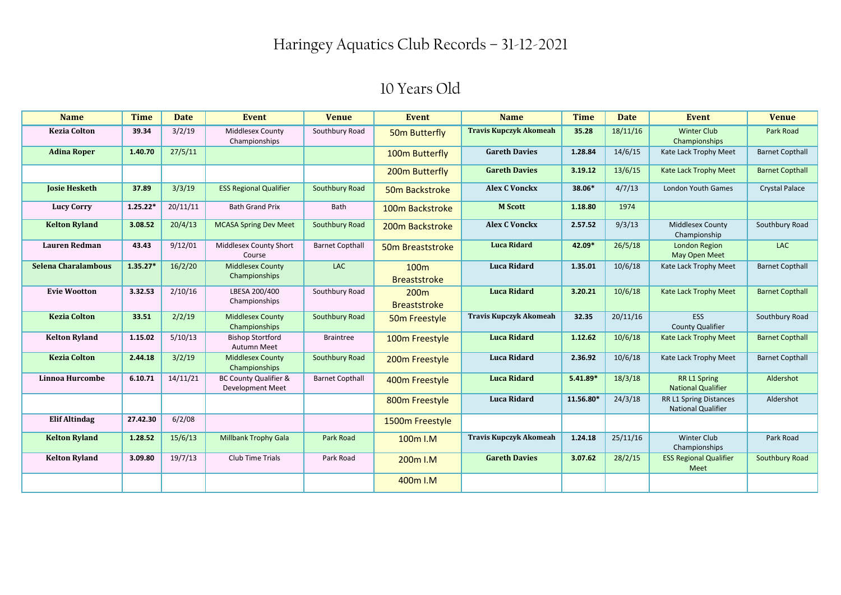| <b>Name</b>          | <b>Time</b> | <b>Date</b> | Event                                                       | <b>Venue</b>           | <b>Event</b>                            | <b>Name</b>                   | <b>Time</b> | <b>Date</b> | Event                                               | <b>Venue</b>           |
|----------------------|-------------|-------------|-------------------------------------------------------------|------------------------|-----------------------------------------|-------------------------------|-------------|-------------|-----------------------------------------------------|------------------------|
| <b>Kezia Colton</b>  | 39.34       | 3/2/19      | <b>Middlesex County</b><br>Championships                    | Southbury Road         | 50m Butterfly                           | <b>Travis Kupczyk Akomeah</b> | 35.28       | 18/11/16    | <b>Winter Club</b><br>Championships                 | Park Road              |
| <b>Adina Roper</b>   | 1.40.70     | 27/5/11     |                                                             |                        | 100m Butterfly                          | <b>Gareth Davies</b>          | 1.28.84     | 14/6/15     | Kate Lack Trophy Meet                               | <b>Barnet Copthall</b> |
|                      |             |             |                                                             |                        | 200m Butterfly                          | <b>Gareth Davies</b>          | 3.19.12     | 13/6/15     | Kate Lack Trophy Meet                               | <b>Barnet Copthall</b> |
| <b>Josie Hesketh</b> | 37.89       | 3/3/19      | <b>ESS Regional Qualifier</b>                               | Southbury Road         | 50m Backstroke                          | <b>Alex C Vonckx</b>          | 38.06*      | 4/7/13      | <b>London Youth Games</b>                           | <b>Crystal Palace</b>  |
| <b>Lucy Corry</b>    | $1.25.22*$  | 20/11/11    | <b>Bath Grand Prix</b>                                      | Bath                   | 100m Backstroke                         | <b>M</b> Scott                | 1.18.80     | 1974        |                                                     |                        |
| <b>Kelton Ryland</b> | 3.08.52     | 20/4/13     | <b>MCASA Spring Dev Meet</b>                                | Southbury Road         | 200m Backstroke                         | <b>Alex C Vonckx</b>          | 2.57.52     | 9/3/13      | Middlesex County<br>Championship                    | Southbury Road         |
| <b>Lauren Redman</b> | 43.43       | 9/12/01     | Middlesex County Short<br>Course                            | <b>Barnet Copthall</b> | 50m Breaststroke                        | <b>Luca Ridard</b>            | 42.09*      | 26/5/18     | <b>London Region</b><br>May Open Meet               | <b>LAC</b>             |
| Selena Charalambous  | $1.35.27*$  | 16/2/20     | <b>Middlesex County</b><br>Championships                    | <b>LAC</b>             | 100 <sub>m</sub><br><b>Breaststroke</b> | <b>Luca Ridard</b>            | 1.35.01     | 10/6/18     | Kate Lack Trophy Meet                               | <b>Barnet Copthall</b> |
| <b>Evie Wootton</b>  | 3.32.53     | 2/10/16     | LBESA 200/400<br>Championships                              | Southbury Road         | 200 <sub>m</sub><br><b>Breaststroke</b> | <b>Luca Ridard</b>            | 3.20.21     | 10/6/18     | Kate Lack Trophy Meet                               | <b>Barnet Copthall</b> |
| <b>Kezia Colton</b>  | 33.51       | 2/2/19      | <b>Middlesex County</b><br>Championships                    | Southbury Road         | 50m Freestyle                           | <b>Travis Kupczyk Akomeah</b> | 32.35       | 20/11/16    | ESS<br><b>County Qualifier</b>                      | Southbury Road         |
| <b>Kelton Ryland</b> | 1.15.02     | 5/10/13     | <b>Bishop Stortford</b><br><b>Autumn Meet</b>               | <b>Braintree</b>       | 100m Freestyle                          | <b>Luca Ridard</b>            | 1.12.62     | 10/6/18     | Kate Lack Trophy Meet                               | <b>Barnet Copthall</b> |
| <b>Kezia Colton</b>  | 2.44.18     | 3/2/19      | <b>Middlesex County</b><br>Championships                    | Southbury Road         | 200m Freestyle                          | <b>Luca Ridard</b>            | 2.36.92     | 10/6/18     | Kate Lack Trophy Meet                               | <b>Barnet Copthall</b> |
| Linnoa Hurcombe      | 6.10.71     | 14/11/21    | <b>BC County Qualifier &amp;</b><br><b>Development Meet</b> | <b>Barnet Copthall</b> | 400m Freestyle                          | <b>Luca Ridard</b>            | $5.41.89*$  | 18/3/18     | <b>RR L1 Spring</b><br><b>National Qualifier</b>    | Aldershot              |
|                      |             |             |                                                             |                        | 800m Freestyle                          | <b>Luca Ridard</b>            | 11.56.80*   | 24/3/18     | RR L1 Spring Distances<br><b>National Qualifier</b> | Aldershot              |
| <b>Elif Altindag</b> | 27.42.30    | 6/2/08      |                                                             |                        | 1500m Freestyle                         |                               |             |             |                                                     |                        |
| <b>Kelton Ryland</b> | 1.28.52     | 15/6/13     | <b>Millbank Trophy Gala</b>                                 | Park Road              | 100m I.M                                | <b>Travis Kupczyk Akomeah</b> | 1.24.18     | 25/11/16    | Winter Club<br>Championships                        | Park Road              |
| <b>Kelton Ryland</b> | 3.09.80     | 19/7/13     | <b>Club Time Trials</b>                                     | Park Road              | 200 <sub>m</sub> I.M                    | <b>Gareth Davies</b>          | 3.07.62     | 28/2/15     | <b>ESS Regional Qualifier</b><br>Meet               | Southbury Road         |
|                      |             |             |                                                             |                        | 400m I.M                                |                               |             |             |                                                     |                        |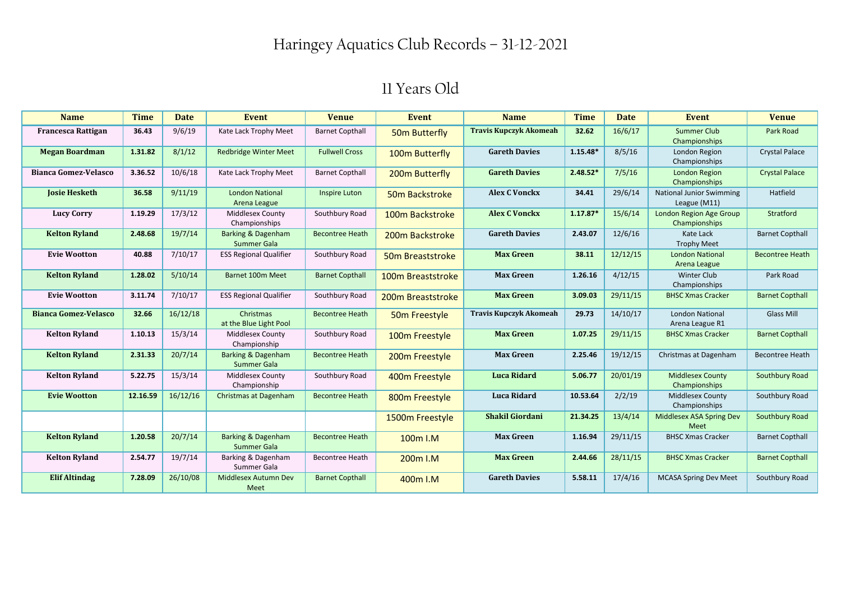| <b>Name</b>                 | <b>Time</b> | <b>Date</b> | Event                                               | <b>Venue</b>           | <b>Event</b>               | <b>Name</b>                   | <b>Time</b> | <b>Date</b> | Event                                           | <b>Venue</b>           |
|-----------------------------|-------------|-------------|-----------------------------------------------------|------------------------|----------------------------|-------------------------------|-------------|-------------|-------------------------------------------------|------------------------|
| <b>Francesca Rattigan</b>   | 36.43       | 9/6/19      | Kate Lack Trophy Meet                               | <b>Barnet Copthall</b> | 50m Butterfly              | <b>Travis Kupczyk Akomeah</b> | 32.62       | 16/6/17     | <b>Summer Club</b><br>Championships             | Park Road              |
| <b>Megan Boardman</b>       | 1.31.82     | 8/1/12      | <b>Redbridge Winter Meet</b>                        | <b>Fullwell Cross</b>  | 100m Butterfly             | <b>Gareth Davies</b>          | $1.15.48*$  | 8/5/16      | London Region<br>Championships                  | <b>Crystal Palace</b>  |
| <b>Bianca Gomez-Velasco</b> | 3.36.52     | 10/6/18     | Kate Lack Trophy Meet                               | <b>Barnet Copthall</b> | 200 <sub>m</sub> Butterfly | <b>Gareth Davies</b>          | $2.48.52*$  | 7/5/16      | London Region<br>Championships                  | <b>Crystal Palace</b>  |
| <b>Josie Hesketh</b>        | 36.58       | 9/11/19     | <b>London National</b><br>Arena League              | <b>Inspire Luton</b>   | 50m Backstroke             | <b>Alex C Vonckx</b>          | 34.41       | 29/6/14     | <b>National Junior Swimming</b><br>League (M11) | Hatfield               |
| <b>Lucy Corry</b>           | 1.19.29     | 17/3/12     | <b>Middlesex County</b><br>Championships            | Southbury Road         | 100m Backstroke            | <b>Alex C Vonckx</b>          | $1.17.87*$  | 15/6/14     | London Region Age Group<br>Championships        | Stratford              |
| <b>Kelton Ryland</b>        | 2.48.68     | 19/7/14     | Barking & Dagenham<br>Summer Gala                   | <b>Becontree Heath</b> | 200m Backstroke            | <b>Gareth Davies</b>          | 2.43.07     | 12/6/16     | Kate Lack<br><b>Trophy Meet</b>                 | <b>Barnet Copthall</b> |
| <b>Evie Wootton</b>         | 40.88       | 7/10/17     | <b>ESS Regional Qualifier</b>                       | Southbury Road         | 50m Breaststroke           | <b>Max Green</b>              | 38.11       | 12/12/15    | <b>London National</b><br>Arena League          | <b>Becontree Heath</b> |
| <b>Kelton Ryland</b>        | 1.28.02     | 5/10/14     | Barnet 100m Meet                                    | <b>Barnet Copthall</b> | 100m Breaststroke          | <b>Max Green</b>              | 1.26.16     | 4/12/15     | <b>Winter Club</b><br>Championships             | Park Road              |
| <b>Evie Wootton</b>         | 3.11.74     | 7/10/17     | <b>ESS Regional Qualifier</b>                       | Southbury Road         | 200m Breaststroke          | <b>Max Green</b>              | 3.09.03     | 29/11/15    | <b>BHSC Xmas Cracker</b>                        | <b>Barnet Copthall</b> |
| <b>Bianca Gomez-Velasco</b> | 32.66       | 16/12/18    | Christmas<br>at the Blue Light Pool                 | <b>Becontree Heath</b> | 50m Freestyle              | <b>Travis Kupczyk Akomeah</b> | 29.73       | 14/10/17    | London National<br>Arena League R1              | <b>Glass Mill</b>      |
| <b>Kelton Ryland</b>        | 1.10.13     | 15/3/14     | Middlesex County<br>Championship                    | Southbury Road         | 100m Freestyle             | <b>Max Green</b>              | 1.07.25     | 29/11/15    | <b>BHSC Xmas Cracker</b>                        | <b>Barnet Copthall</b> |
| <b>Kelton Ryland</b>        | 2.31.33     | 20/7/14     | Barking & Dagenham<br><b>Summer Gala</b>            | <b>Becontree Heath</b> | 200 <sub>m</sub> Freestyle | <b>Max Green</b>              | 2.25.46     | 19/12/15    | Christmas at Dagenham                           | <b>Becontree Heath</b> |
| <b>Kelton Ryland</b>        | 5.22.75     | 15/3/14     | Middlesex County<br>Championship                    | Southbury Road         | 400m Freestyle             | <b>Luca Ridard</b>            | 5.06.77     | 20/01/19    | <b>Middlesex County</b><br>Championships        | Southbury Road         |
| <b>Evie Wootton</b>         | 12.16.59    | 16/12/16    | Christmas at Dagenham                               | <b>Becontree Heath</b> | 800m Freestyle             | <b>Luca Ridard</b>            | 10.53.64    | 2/2/19      | Middlesex County<br>Championships               | Southbury Road         |
|                             |             |             |                                                     |                        | 1500m Freestyle            | <b>Shakil Giordani</b>        | 21.34.25    | 13/4/14     | Middlesex ASA Spring Dev<br>Meet                | Southbury Road         |
| <b>Kelton Ryland</b>        | 1.20.58     | 20/7/14     | <b>Barking &amp; Dagenham</b><br><b>Summer Gala</b> | <b>Becontree Heath</b> | 100 <sub>m</sub> I.M       | <b>Max Green</b>              | 1.16.94     | 29/11/15    | <b>BHSC Xmas Cracker</b>                        | <b>Barnet Copthall</b> |
| <b>Kelton Ryland</b>        | 2.54.77     | 19/7/14     | Barking & Dagenham<br>Summer Gala                   | <b>Becontree Heath</b> | 200 <sub>m</sub> I.M       | <b>Max Green</b>              | 2.44.66     | 28/11/15    | <b>BHSC Xmas Cracker</b>                        | <b>Barnet Copthall</b> |
| <b>Elif Altindag</b>        | 7.28.09     | 26/10/08    | Middlesex Autumn Dev<br>Meet                        | <b>Barnet Copthall</b> | 400m I.M                   | <b>Gareth Davies</b>          | 5.58.11     | 17/4/16     | <b>MCASA Spring Dev Meet</b>                    | Southbury Road         |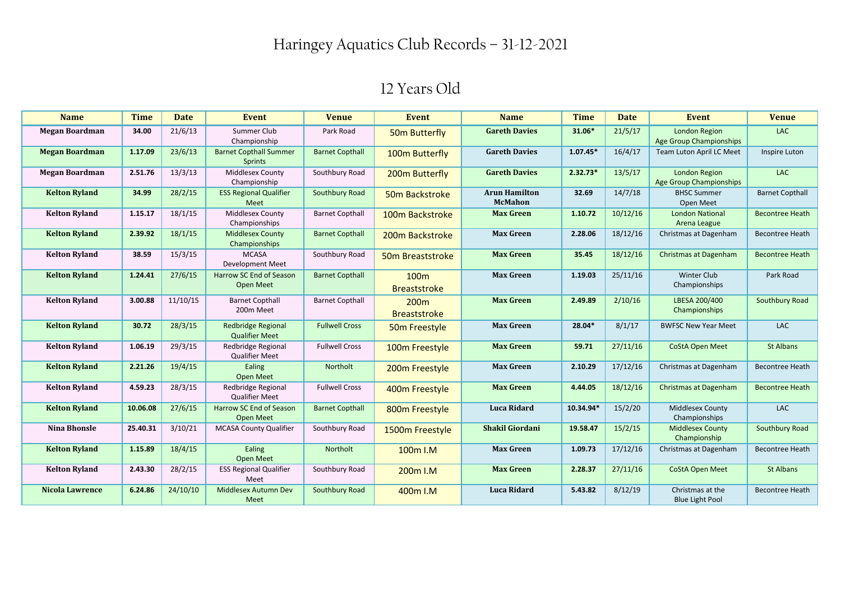| <b>Name</b>            | <b>Time</b> | <b>Date</b> | Event                                              | <b>Venue</b>           | Event                                   | <b>Name</b>                            | <b>Time</b> | <b>Date</b> | Event                                                  | <b>Venue</b>           |
|------------------------|-------------|-------------|----------------------------------------------------|------------------------|-----------------------------------------|----------------------------------------|-------------|-------------|--------------------------------------------------------|------------------------|
| <b>Megan Boardman</b>  | 34.00       | 21/6/13     | Summer Club<br>Championship                        | Park Road              | 50m Butterfly                           | <b>Gareth Davies</b>                   | 31.06*      | 21/5/17     | <b>London Region</b><br><b>Age Group Championships</b> | <b>LAC</b>             |
| <b>Megan Boardman</b>  | 1.17.09     | 23/6/13     | <b>Barnet Copthall Summer</b><br><b>Sprints</b>    | <b>Barnet Copthall</b> | 100m Butterfly                          | <b>Gareth Davies</b>                   | $1.07.45*$  | 16/4/17     | Team Luton April LC Meet                               | Inspire Luton          |
| <b>Megan Boardman</b>  | 2.51.76     | 13/3/13     | Middlesex County<br>Championship                   | Southbury Road         | 200m Butterfly                          | <b>Gareth Davies</b>                   | $2.32.73*$  | 13/5/17     | <b>London Region</b><br><b>Age Group Championships</b> | <b>LAC</b>             |
| <b>Kelton Ryland</b>   | 34.99       | 28/2/15     | <b>ESS Regional Qualifier</b><br>Meet              | Southbury Road         | 50m Backstroke                          | <b>Arun Hamilton</b><br><b>McMahon</b> | 32.69       | 14/7/18     | <b>BHSC Summer</b><br>Open Meet                        | <b>Barnet Copthall</b> |
| <b>Kelton Ryland</b>   | 1.15.17     | 18/1/15     | Middlesex County<br>Championships                  | <b>Barnet Copthall</b> | 100m Backstroke                         | <b>Max Green</b>                       | 1.10.72     | 10/12/16    | <b>London National</b><br>Arena League                 | <b>Becontree Heath</b> |
| <b>Kelton Ryland</b>   | 2.39.92     | 18/1/15     | <b>Middlesex County</b><br>Championships           | <b>Barnet Copthall</b> | 200m Backstroke                         | <b>Max Green</b>                       | 2.28.06     | 18/12/16    | Christmas at Dagenham                                  | <b>Becontree Heath</b> |
| <b>Kelton Ryland</b>   | 38.59       | 15/3/15     | <b>MCASA</b><br><b>Development Meet</b>            | Southbury Road         | 50 <sub>m</sub> Breaststroke            | <b>Max Green</b>                       | 35.45       | 18/12/16    | <b>Christmas at Dagenham</b>                           | <b>Becontree Heath</b> |
| <b>Kelton Ryland</b>   | 1.24.41     | 27/6/15     | Harrow SC End of Season<br><b>Open Meet</b>        | <b>Barnet Copthall</b> | 100 <sub>m</sub><br><b>Breaststroke</b> | <b>Max Green</b>                       | 1.19.03     | 25/11/16    | <b>Winter Club</b><br>Championships                    | Park Road              |
| <b>Kelton Ryland</b>   | 3.00.88     | 11/10/15    | <b>Barnet Copthall</b><br>200m Meet                | <b>Barnet Copthall</b> | 200 <sub>m</sub><br><b>Breaststroke</b> | <b>Max Green</b>                       | 2.49.89     | 2/10/16     | LBESA 200/400<br>Championships                         | Southbury Road         |
| <b>Kelton Ryland</b>   | 30.72       | 28/3/15     | <b>Redbridge Regional</b><br><b>Qualifier Meet</b> | <b>Fullwell Cross</b>  | 50 <sub>m</sub> Freestyle               | <b>Max Green</b>                       | 28.04*      | 8/1/17      | <b>BWFSC New Year Meet</b>                             | LAC                    |
| <b>Kelton Ryland</b>   | 1.06.19     | 29/3/15     | Redbridge Regional<br><b>Qualifier Meet</b>        | <b>Fullwell Cross</b>  | 100m Freestyle                          | <b>Max Green</b>                       | 59.71       | 27/11/16    | <b>CoStA Open Meet</b>                                 | <b>St Albans</b>       |
| <b>Kelton Ryland</b>   | 2.21.26     | 19/4/15     | Ealing<br>Open Meet                                | Northolt               | 200 <sub>m</sub> Freestyle              | <b>Max Green</b>                       | 2.10.29     | 17/12/16    | Christmas at Dagenham                                  | <b>Becontree Heath</b> |
| <b>Kelton Ryland</b>   | 4.59.23     | 28/3/15     | Redbridge Regional<br><b>Qualifier Meet</b>        | <b>Fullwell Cross</b>  | 400m Freestyle                          | <b>Max Green</b>                       | 4.44.05     | 18/12/16    | <b>Christmas at Dagenham</b>                           | <b>Becontree Heath</b> |
| <b>Kelton Ryland</b>   | 10.06.08    | 27/6/15     | Harrow SC End of Season<br>Open Meet               | <b>Barnet Copthall</b> | 800m Freestyle                          | <b>Luca Ridard</b>                     | 10.34.94*   | 15/2/20     | <b>Middlesex County</b><br>Championships               | <b>LAC</b>             |
| <b>Nina Bhonsle</b>    | 25.40.31    | 3/10/21     | <b>MCASA County Qualifier</b>                      | Southbury Road         | 1500m Freestyle                         | <b>Shakil Giordani</b>                 | 19.58.47    | 15/2/15     | <b>Middlesex County</b><br>Championship                | Southbury Road         |
| <b>Kelton Ryland</b>   | 1.15.89     | 18/4/15     | Ealing<br>Open Meet                                | Northolt               | 100m I.M                                | <b>Max Green</b>                       | 1.09.73     | 17/12/16    | Christmas at Dagenham                                  | <b>Becontree Heath</b> |
| <b>Kelton Ryland</b>   | 2.43.30     | 28/2/15     | <b>ESS Regional Qualifier</b><br>Meet              | Southbury Road         | 200 <sub>m</sub> I.M                    | <b>Max Green</b>                       | 2.28.37     | 27/11/16    | <b>CoStA Open Meet</b>                                 | St Albans              |
| <b>Nicola Lawrence</b> | 6.24.86     | 24/10/10    | Middlesex Autumn Dev<br>Meet                       | Southbury Road         | 400m I.M                                | <b>Luca Ridard</b>                     | 5.43.82     | 8/12/19     | Christmas at the<br><b>Blue Light Pool</b>             | Becontree Heath        |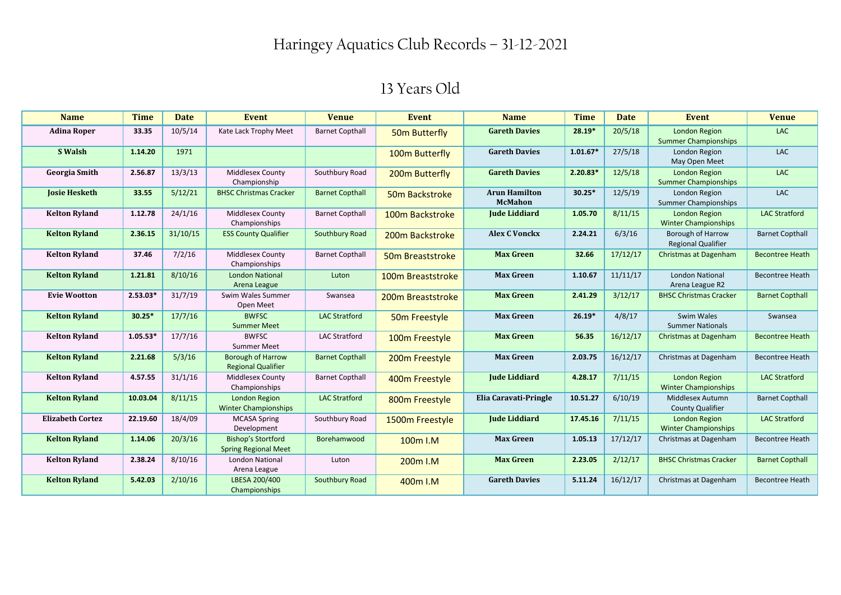| <b>Name</b>             | <b>Time</b> | <b>Date</b> | <b>Event</b>                                             | <b>Venue</b>           | <b>Event</b>              | <b>Name</b>                            | <b>Time</b> | <b>Date</b> | <b>Event</b>                                        | <b>Venue</b>           |
|-------------------------|-------------|-------------|----------------------------------------------------------|------------------------|---------------------------|----------------------------------------|-------------|-------------|-----------------------------------------------------|------------------------|
| <b>Adina Roper</b>      | 33.35       | 10/5/14     | Kate Lack Trophy Meet                                    | <b>Barnet Copthall</b> | 50m Butterfly             | <b>Gareth Davies</b>                   | 28.19*      | 20/5/18     | London Region<br><b>Summer Championships</b>        | <b>LAC</b>             |
| S Walsh                 | 1.14.20     | 1971        |                                                          |                        | 100m Butterfly            | <b>Gareth Davies</b>                   | $1.01.67*$  | 27/5/18     | London Region<br>May Open Meet                      | LAC                    |
| <b>Georgia Smith</b>    | 2.56.87     | 13/3/13     | <b>Middlesex County</b><br>Championship                  | Southbury Road         | 200m Butterfly            | <b>Gareth Davies</b>                   | $2.20.83*$  | 12/5/18     | <b>London Region</b><br><b>Summer Championships</b> | LAC                    |
| <b>Josie Hesketh</b>    | 33.55       | 5/12/21     | <b>BHSC Christmas Cracker</b>                            | <b>Barnet Copthall</b> | 50m Backstroke            | <b>Arun Hamilton</b><br><b>McMahon</b> | $30.25*$    | 12/5/19     | London Region<br><b>Summer Championships</b>        | <b>LAC</b>             |
| <b>Kelton Ryland</b>    | 1.12.78     | 24/1/16     | <b>Middlesex County</b><br>Championships                 | <b>Barnet Copthall</b> | 100m Backstroke           | <b>Jude Liddiard</b>                   | 1.05.70     | 8/11/15     | London Region<br><b>Winter Championships</b>        | <b>LAC Stratford</b>   |
| <b>Kelton Ryland</b>    | 2.36.15     | 31/10/15    | <b>ESS County Qualifier</b>                              | Southbury Road         | 200m Backstroke           | <b>Alex C Vonckx</b>                   | 2.24.21     | 6/3/16      | Borough of Harrow<br><b>Regional Qualifier</b>      | <b>Barnet Copthall</b> |
| <b>Kelton Ryland</b>    | 37.46       | 7/2/16      | <b>Middlesex County</b><br>Championships                 | <b>Barnet Copthall</b> | 50m Breaststroke          | <b>Max Green</b>                       | 32.66       | 17/12/17    | <b>Christmas at Dagenham</b>                        | <b>Becontree Heath</b> |
| <b>Kelton Ryland</b>    | 1.21.81     | 8/10/16     | <b>London National</b><br>Arena League                   | Luton                  | 100m Breaststroke         | <b>Max Green</b>                       | 1.10.67     | 11/11/17    | <b>London National</b><br>Arena League R2           | <b>Becontree Heath</b> |
| <b>Evie Wootton</b>     | $2.53.03*$  | 31/7/19     | Swim Wales Summer<br>Open Meet                           | Swansea                | 200m Breaststroke         | <b>Max Green</b>                       | 2.41.29     | 3/12/17     | <b>BHSC Christmas Cracker</b>                       | <b>Barnet Copthall</b> |
| <b>Kelton Ryland</b>    | $30.25*$    | 17/7/16     | <b>BWFSC</b><br><b>Summer Meet</b>                       | <b>LAC Stratford</b>   | 50 <sub>m</sub> Freestyle | <b>Max Green</b>                       | $26.19*$    | 4/8/17      | Swim Wales<br><b>Summer Nationals</b>               | Swansea                |
| <b>Kelton Ryland</b>    | $1.05.53*$  | 17/7/16     | <b>BWFSC</b><br><b>Summer Meet</b>                       | <b>LAC Stratford</b>   | 100m Freestyle            | <b>Max Green</b>                       | 56.35       | 16/12/17    | <b>Christmas at Dagenham</b>                        | <b>Becontree Heath</b> |
| <b>Kelton Ryland</b>    | 2.21.68     | 5/3/16      | <b>Borough of Harrow</b><br><b>Regional Qualifier</b>    | <b>Barnet Copthall</b> | 200m Freestyle            | <b>Max Green</b>                       | 2.03.75     | 16/12/17    | Christmas at Dagenham                               | <b>Becontree Heath</b> |
| <b>Kelton Ryland</b>    | 4.57.55     | 31/1/16     | <b>Middlesex County</b><br>Championships                 | <b>Barnet Copthall</b> | 400m Freestyle            | <b>Jude Liddiard</b>                   | 4.28.17     | 7/11/15     | London Region<br><b>Winter Championships</b>        | <b>LAC Stratford</b>   |
| <b>Kelton Ryland</b>    | 10.03.04    | 8/11/15     | London Region<br><b>Winter Championships</b>             | <b>LAC Stratford</b>   | 800m Freestyle            | Elia Caravati-Pringle                  | 10.51.27    | 6/10/19     | Middlesex Autumn<br><b>County Qualifier</b>         | <b>Barnet Copthall</b> |
| <b>Elizabeth Cortez</b> | 22.19.60    | 18/4/09     | <b>MCASA Spring</b><br>Development                       | Southbury Road         | 1500m Freestyle           | <b>Jude Liddiard</b>                   | 17.45.16    | 7/11/15     | London Region<br><b>Winter Championships</b>        | <b>LAC Stratford</b>   |
| <b>Kelton Ryland</b>    | 1.14.06     | 20/3/16     | <b>Bishop's Stortford</b><br><b>Spring Regional Meet</b> | Borehamwood            | 100m I.M                  | <b>Max Green</b>                       | 1.05.13     | 17/12/17    | Christmas at Dagenham                               | <b>Becontree Heath</b> |
| <b>Kelton Ryland</b>    | 2.38.24     | 8/10/16     | <b>London National</b><br>Arena League                   | Luton                  | 200 <sub>m</sub> I.M      | <b>Max Green</b>                       | 2.23.05     | 2/12/17     | <b>BHSC Christmas Cracker</b>                       | <b>Barnet Copthall</b> |
| <b>Kelton Ryland</b>    | 5.42.03     | 2/10/16     | LBESA 200/400<br>Championships                           | Southbury Road         | 400m I.M                  | <b>Gareth Davies</b>                   | 5.11.24     | 16/12/17    | Christmas at Dagenham                               | <b>Becontree Heath</b> |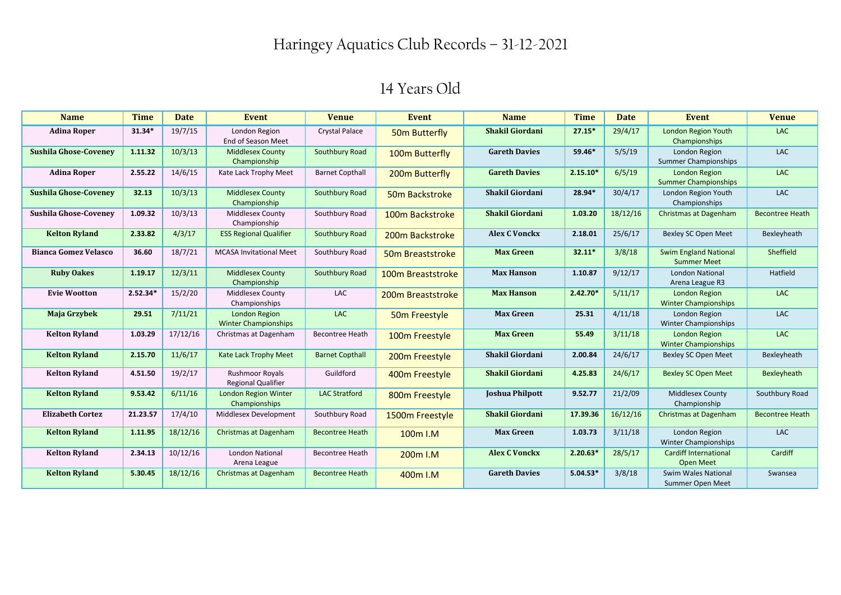| <b>Name</b>                  | <b>Time</b> | <b>Date</b> | <b>Event</b>                                        | <b>Venue</b>           | <b>Event</b>               | <b>Name</b>            | <b>Time</b> | <b>Date</b> | <b>Event</b>                                        | <b>Venue</b>           |
|------------------------------|-------------|-------------|-----------------------------------------------------|------------------------|----------------------------|------------------------|-------------|-------------|-----------------------------------------------------|------------------------|
| <b>Adina Roper</b>           | 31.34*      | 19/7/15     | London Region<br>End of Season Meet                 | <b>Crystal Palace</b>  | 50m Butterfly              | <b>Shakil Giordani</b> | 27.15*      | 29/4/17     | London Region Youth<br>Championships                | <b>LAC</b>             |
| <b>Sushila Ghose-Coveney</b> | 1.11.32     | 10/3/13     | <b>Middlesex County</b><br>Championship             | Southbury Road         | 100m Butterfly             | <b>Gareth Davies</b>   | 59.46*      | 5/5/19      | London Region<br><b>Summer Championships</b>        | <b>LAC</b>             |
| <b>Adina Roper</b>           | 2.55.22     | 14/6/15     | Kate Lack Trophy Meet                               | <b>Barnet Copthall</b> | 200m Butterfly             | <b>Gareth Davies</b>   | $2.15.10*$  | 6/5/19      | <b>London Region</b><br><b>Summer Championships</b> | <b>LAC</b>             |
| <b>Sushila Ghose-Coveney</b> | 32.13       | 10/3/13     | <b>Middlesex County</b><br>Championship             | Southbury Road         | 50m Backstroke             | <b>Shakil Giordani</b> | 28.94*      | 30/4/17     | London Region Youth<br>Championships                | <b>LAC</b>             |
| <b>Sushila Ghose-Covenev</b> | 1.09.32     | 10/3/13     | <b>Middlesex County</b><br>Championship             | Southbury Road         | 100m Backstroke            | <b>Shakil Giordani</b> | 1.03.20     | 18/12/16    | Christmas at Dagenham                               | <b>Becontree Heath</b> |
| <b>Kelton Ryland</b>         | 2.33.82     | 4/3/17      | <b>ESS Regional Qualifier</b>                       | Southbury Road         | 200m Backstroke            | <b>Alex C Vonckx</b>   | 2.18.01     | 25/6/17     | Bexley SC Open Meet                                 | Bexleyheath            |
| <b>Bianca Gomez Velasco</b>  | 36.60       | 18/7/21     | <b>MCASA Invitational Meet</b>                      | Southbury Road         | 50m Breaststroke           | <b>Max Green</b>       | $32.11*$    | 3/8/18      | <b>Swim England National</b><br><b>Summer Meet</b>  | Sheffield              |
| <b>Ruby Oakes</b>            | 1.19.17     | 12/3/11     | <b>Middlesex County</b><br>Championship             | Southbury Road         | 100m Breaststroke          | <b>Max Hanson</b>      | 1.10.87     | 9/12/17     | <b>London National</b><br>Arena League R3           | Hatfield               |
| <b>Evie Wootton</b>          | $2.52.34*$  | 15/2/20     | <b>Middlesex County</b><br>Championships            | LAC                    | 200m Breaststroke          | <b>Max Hanson</b>      | $2.42.70*$  | 5/11/17     | <b>London Region</b><br><b>Winter Championships</b> | <b>LAC</b>             |
| Maja Grzybek                 | 29.51       | 7/11/21     | <b>London Region</b><br><b>Winter Championships</b> | LAC                    | 50 <sub>m</sub> Freestyle  | <b>Max Green</b>       | 25.31       | 4/11/18     | London Region<br><b>Winter Championships</b>        | <b>LAC</b>             |
| <b>Kelton Ryland</b>         | 1.03.29     | 17/12/16    | Christmas at Dagenham                               | <b>Becontree Heath</b> | 100m Freestyle             | <b>Max Green</b>       | 55.49       | 3/11/18     | London Region<br><b>Winter Championships</b>        | <b>LAC</b>             |
| <b>Kelton Ryland</b>         | 2.15.70     | 11/6/17     | Kate Lack Trophy Meet                               | <b>Barnet Copthall</b> | 200 <sub>m</sub> Freestyle | <b>Shakil Giordani</b> | 2.00.84     | 24/6/17     | Bexley SC Open Meet                                 | Bexleyheath            |
| <b>Kelton Ryland</b>         | 4.51.50     | 19/2/17     | <b>Rushmoor Royals</b><br><b>Regional Qualifier</b> | Guildford              | 400m Freestyle             | <b>Shakil Giordani</b> | 4.25.83     | 24/6/17     | <b>Bexley SC Open Meet</b>                          | Bexleyheath            |
| <b>Kelton Ryland</b>         | 9.53.42     | 6/11/16     | <b>London Region Winter</b><br>Championships        | <b>LAC Stratford</b>   | 800m Freestyle             | <b>Joshua Philpott</b> | 9.52.77     | 21/2/09     | Middlesex County<br>Championship                    | Southbury Road         |
| <b>Elizabeth Cortez</b>      | 21.23.57    | 17/4/10     | Middlesex Development                               | Southbury Road         | 1500m Freestyle            | <b>Shakil Giordani</b> | 17.39.36    | 16/12/16    | Christmas at Dagenham                               | <b>Becontree Heath</b> |
| <b>Kelton Ryland</b>         | 1.11.95     | 18/12/16    | Christmas at Dagenham                               | <b>Becontree Heath</b> | 100m I.M                   | <b>Max Green</b>       | 1.03.73     | 3/11/18     | London Region<br><b>Winter Championships</b>        | <b>LAC</b>             |
| <b>Kelton Ryland</b>         | 2.34.13     | 10/12/16    | <b>London National</b><br>Arena League              | <b>Becontree Heath</b> | 200 <sub>m</sub> I.M       | <b>Alex C Vonckx</b>   | $2.20.63*$  | 28/5/17     | <b>Cardiff International</b><br><b>Open Meet</b>    | Cardiff                |
| <b>Kelton Ryland</b>         | 5.30.45     | 18/12/16    | Christmas at Dagenham                               | <b>Becontree Heath</b> | 400m I.M                   | <b>Gareth Davies</b>   | $5.04.53*$  | 3/8/18      | Swim Wales National<br>Summer Open Meet             | Swansea                |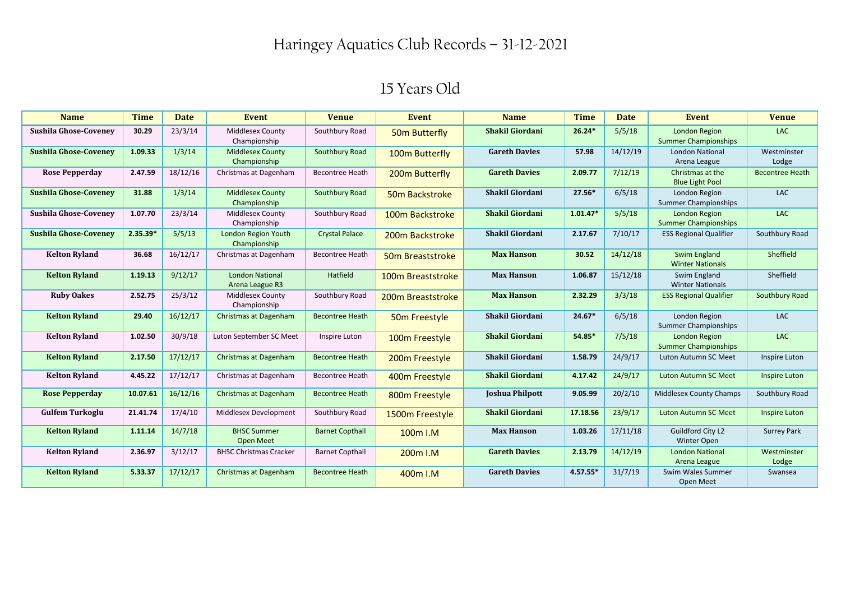| <b>Name</b>                  | <b>Time</b> | <b>Date</b> | Event                                     | <b>Venue</b>           | <b>Event</b>                  | <b>Name</b>            | <b>Time</b> | Date     | Event                                               | <b>Venue</b>           |
|------------------------------|-------------|-------------|-------------------------------------------|------------------------|-------------------------------|------------------------|-------------|----------|-----------------------------------------------------|------------------------|
| <b>Sushila Ghose-Coveney</b> | 30.29       | 23/3/14     | Middlesex County<br>Championship          | Southbury Road         | 50 <sub>m</sub> Butterfly     | <b>Shakil Giordani</b> | $26.24*$    | 5/5/18   | <b>London Region</b><br><b>Summer Championships</b> | <b>LAC</b>             |
| <b>Sushila Ghose-Covenev</b> | 1.09.33     | 1/3/14      | <b>Middlesex County</b><br>Championship   | Southbury Road         | 100m Butterfly                | <b>Gareth Davies</b>   | 57.98       | 14/12/19 | <b>London National</b><br>Arena League              | Westminster<br>Lodge   |
| <b>Rose Pepperday</b>        | 2.47.59     | 18/12/16    | Christmas at Dagenham                     | <b>Becontree Heath</b> | 200m Butterfly                | <b>Gareth Davies</b>   | 2.09.77     | 7/12/19  | Christmas at the<br><b>Blue Light Pool</b>          | <b>Becontree Heath</b> |
| <b>Sushila Ghose-Coveney</b> | 31.88       | 1/3/14      | <b>Middlesex County</b><br>Championship   | Southbury Road         | 50 <sub>m</sub> Backstroke    | <b>Shakil Giordani</b> | 27.56*      | 6/5/18   | London Region<br><b>Summer Championships</b>        | <b>LAC</b>             |
| <b>Sushila Ghose-Covenev</b> | 1.07.70     | 23/3/14     | <b>Middlesex County</b><br>Championship   | Southbury Road         | 100m Backstroke               | <b>Shakil Giordani</b> | $1.01.47*$  | 5/5/18   | <b>London Region</b><br><b>Summer Championships</b> | <b>LAC</b>             |
| <b>Sushila Ghose-Covenev</b> | $2.35.39*$  | 5/5/13      | London Region Youth<br>Championship       | <b>Crystal Palace</b>  | 200m Backstroke               | <b>Shakil Giordani</b> | 2.17.67     | 7/10/17  | <b>ESS Regional Qualifier</b>                       | Southbury Road         |
| <b>Kelton Ryland</b>         | 36.68       | 16/12/17    | Christmas at Dagenham                     | <b>Becontree Heath</b> | 50 <sub>m</sub> Breaststroke  | <b>Max Hanson</b>      | 30.52       | 14/12/18 | Swim England<br><b>Winter Nationals</b>             | Sheffield              |
| <b>Kelton Ryland</b>         | 1.19.13     | 9/12/17     | <b>London National</b><br>Arena League R3 | Hatfield               | 100m Breaststroke             | <b>Max Hanson</b>      | 1.06.87     | 15/12/18 | Swim England<br><b>Winter Nationals</b>             | Sheffield              |
| <b>Ruby Oakes</b>            | 2.52.75     | 25/3/12     | <b>Middlesex County</b><br>Championship   | Southbury Road         | 200 <sub>m</sub> Breaststroke | <b>Max Hanson</b>      | 2.32.29     | 3/3/18   | <b>ESS Regional Qualifier</b>                       | Southbury Road         |
| <b>Kelton Ryland</b>         | 29.40       | 16/12/17    | Christmas at Dagenham                     | <b>Becontree Heath</b> | 50 <sub>m</sub> Freestyle     | <b>Shakil Giordani</b> | $24.67*$    | 6/5/18   | London Region<br><b>Summer Championships</b>        | <b>LAC</b>             |
| <b>Kelton Ryland</b>         | 1.02.50     | 30/9/18     | Luton September SC Meet                   | Inspire Luton          | 100m Freestyle                | <b>Shakil Giordani</b> | 54.85*      | 7/5/18   | London Region<br><b>Summer Championships</b>        | <b>LAC</b>             |
| <b>Kelton Ryland</b>         | 2.17.50     | 17/12/17    | <b>Christmas at Dagenham</b>              | <b>Becontree Heath</b> | 200m Freestyle                | <b>Shakil Giordani</b> | 1.58.79     | 24/9/17  | Luton Autumn SC Meet                                | Inspire Luton          |
| <b>Kelton Ryland</b>         | 4.45.22     | 17/12/17    | Christmas at Dagenham                     | <b>Becontree Heath</b> | 400m Freestyle                | <b>Shakil Giordani</b> | 4.17.42     | 24/9/17  | <b>Luton Autumn SC Meet</b>                         | Inspire Luton          |
| <b>Rose Pepperday</b>        | 10.07.61    | 16/12/16    | Christmas at Dagenham                     | <b>Becontree Heath</b> | 800m Freestyle                | <b>Joshua Philpott</b> | 9.05.99     | 20/2/10  | <b>Middlesex County Champs</b>                      | Southbury Road         |
| <b>Gulfem Turkoglu</b>       | 21.41.74    | 17/4/10     | Middlesex Development                     | Southbury Road         | 1500m Freestyle               | <b>Shakil Giordani</b> | 17.18.56    | 23/9/17  | <b>Luton Autumn SC Meet</b>                         | <b>Inspire Luton</b>   |
| <b>Kelton Ryland</b>         | 1.11.14     | 14/7/18     | <b>BHSC Summer</b><br><b>Open Meet</b>    | <b>Barnet Copthall</b> | 100 <sub>m</sub> I.M          | <b>Max Hanson</b>      | 1.03.26     | 17/11/18 | <b>Guildford City L2</b><br>Winter Open             | <b>Surrey Park</b>     |
| <b>Kelton Ryland</b>         | 2.36.97     | 3/12/17     | <b>BHSC Christmas Cracker</b>             | <b>Barnet Copthall</b> | 200 <sub>m</sub> I.M          | <b>Gareth Davies</b>   | 2.13.79     | 14/12/19 | <b>London National</b><br>Arena League              | Westminster<br>Lodge   |
| <b>Kelton Ryland</b>         | 5.33.37     | 17/12/17    | Christmas at Dagenham                     | <b>Becontree Heath</b> | 400m I.M                      | <b>Gareth Davies</b>   | 4.57.55*    | 31/7/19  | Swim Wales Summer<br>Open Meet                      | Swansea                |